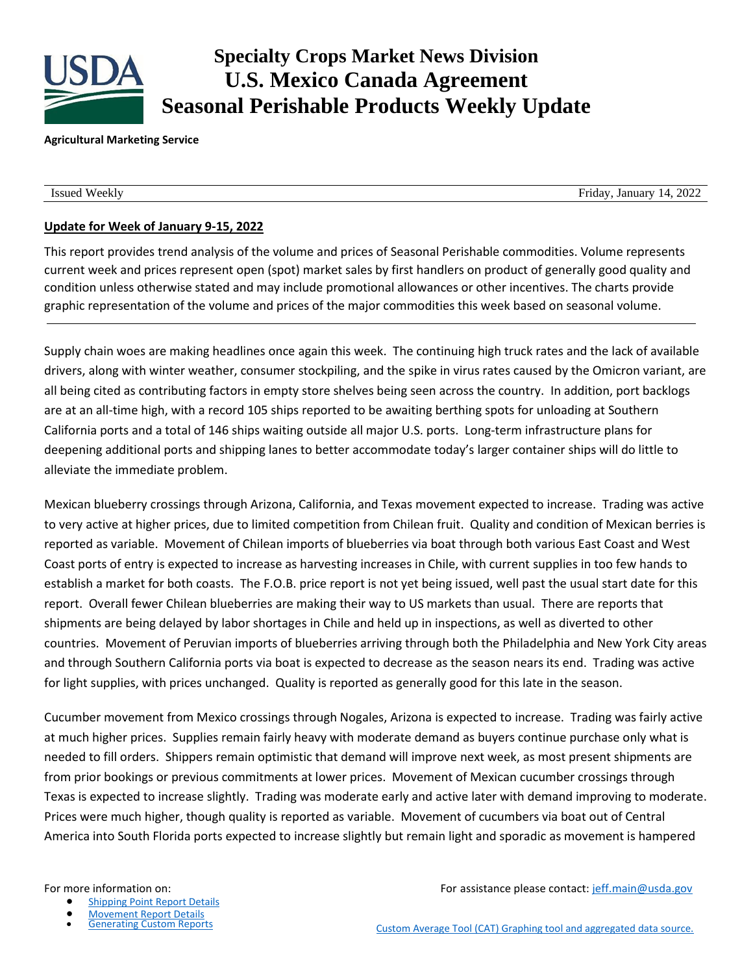

# **Specialty Crops Market News Division U.S. Mexico Canada Agreement Seasonal Perishable Products Weekly Update**

#### **Agricultural Marketing Service**

Issued Weekly Friday, January 14, 2022

# **Update for Week of January 9-15, 2022**

This report provides trend analysis of the volume and prices of Seasonal Perishable commodities. Volume represents current week and prices represent open (spot) market sales by first handlers on product of generally good quality and condition unless otherwise stated and may include promotional allowances or other incentives. The charts provide graphic representation of the volume and prices of the major commodities this week based on seasonal volume.

Supply chain woes are making headlines once again this week. The continuing high truck rates and the lack of available drivers, along with winter weather, consumer stockpiling, and the spike in virus rates caused by the Omicron variant, are all being cited as contributing factors in empty store shelves being seen across the country. In addition, port backlogs are at an all-time high, with a record 105 ships reported to be awaiting berthing spots for unloading at Southern California ports and a total of 146 ships waiting outside all major U.S. ports. Long-term infrastructure plans for deepening additional ports and shipping lanes to better accommodate today's larger container ships will do little to alleviate the immediate problem.

Mexican blueberry crossings through Arizona, California, and Texas movement expected to increase. Trading was active to very active at higher prices, due to limited competition from Chilean fruit. Quality and condition of Mexican berries is reported as variable. Movement of Chilean imports of blueberries via boat through both various East Coast and West Coast ports of entry is expected to increase as harvesting increases in Chile, with current supplies in too few hands to establish a market for both coasts. The F.O.B. price report is not yet being issued, well past the usual start date for this report. Overall fewer Chilean blueberries are making their way to US markets than usual. There are reports that shipments are being delayed by labor shortages in Chile and held up in inspections, as well as diverted to other countries. Movement of Peruvian imports of blueberries arriving through both the Philadelphia and New York City areas and through Southern California ports via boat is expected to decrease as the season nears its end. Trading was active for light supplies, with prices unchanged. Quality is reported as generally good for this late in the season.

Cucumber movement from Mexico crossings through Nogales, Arizona is expected to increase. Trading was fairly active at much higher prices. Supplies remain fairly heavy with moderate demand as buyers continue purchase only what is needed to fill orders. Shippers remain optimistic that demand will improve next week, as most present shipments are from prior bookings or previous commitments at lower prices. Movement of Mexican cucumber crossings through Texas is expected to increase slightly. Trading was moderate early and active later with demand improving to moderate. Prices were much higher, though quality is reported as variable. Movement of cucumbers via boat out of Central America into South Florida ports expected to increase slightly but remain light and sporadic as movement is hampered

- [Shipping Point Report Details](https://www.marketnews.usda.gov/mnp/fv-help-15)
- 

**[Movement Report Details](https://www.marketnews.usda.gov/mnp/fv-help-16)<br>Generating Custom Reports** 

For more information on: The match of the state of the set of the Formation of the Secondary of the Secondary Formation of the Secondary Secondary Secondary Secondary Secondary Secondary Secondary Secondary Secondary Secon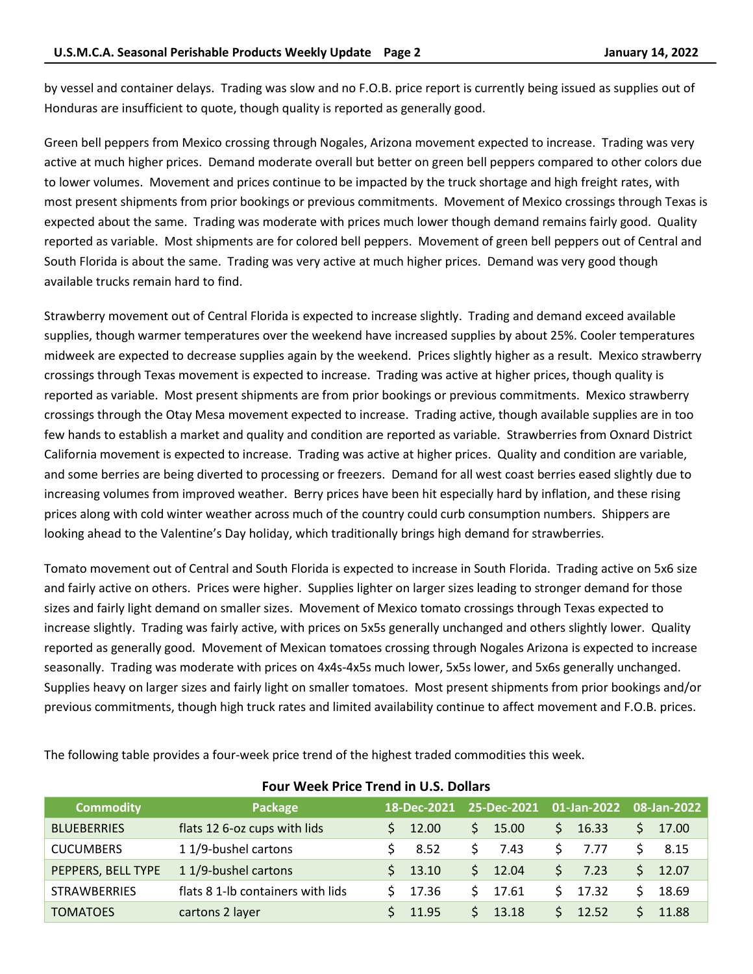by vessel and container delays. Trading was slow and no F.O.B. price report is currently being issued as supplies out of Honduras are insufficient to quote, though quality is reported as generally good.

Green bell peppers from Mexico crossing through Nogales, Arizona movement expected to increase. Trading was very active at much higher prices. Demand moderate overall but better on green bell peppers compared to other colors due to lower volumes. Movement and prices continue to be impacted by the truck shortage and high freight rates, with most present shipments from prior bookings or previous commitments. Movement of Mexico crossings through Texas is expected about the same. Trading was moderate with prices much lower though demand remains fairly good. Quality reported as variable. Most shipments are for colored bell peppers. Movement of green bell peppers out of Central and South Florida is about the same. Trading was very active at much higher prices. Demand was very good though available trucks remain hard to find.

Strawberry movement out of Central Florida is expected to increase slightly. Trading and demand exceed available supplies, though warmer temperatures over the weekend have increased supplies by about 25%. Cooler temperatures midweek are expected to decrease supplies again by the weekend. Prices slightly higher as a result. Mexico strawberry crossings through Texas movement is expected to increase. Trading was active at higher prices, though quality is reported as variable. Most present shipments are from prior bookings or previous commitments. Mexico strawberry crossings through the Otay Mesa movement expected to increase. Trading active, though available supplies are in too few hands to establish a market and quality and condition are reported as variable. Strawberries from Oxnard District California movement is expected to increase. Trading was active at higher prices. Quality and condition are variable, and some berries are being diverted to processing or freezers. Demand for all west coast berries eased slightly due to increasing volumes from improved weather. Berry prices have been hit especially hard by inflation, and these rising prices along with cold winter weather across much of the country could curb consumption numbers. Shippers are looking ahead to the Valentine's Day holiday, which traditionally brings high demand for strawberries.

Tomato movement out of Central and South Florida is expected to increase in South Florida. Trading active on 5x6 size and fairly active on others. Prices were higher. Supplies lighter on larger sizes leading to stronger demand for those sizes and fairly light demand on smaller sizes. Movement of Mexico tomato crossings through Texas expected to increase slightly. Trading was fairly active, with prices on 5x5s generally unchanged and others slightly lower. Quality reported as generally good. Movement of Mexican tomatoes crossing through Nogales Arizona is expected to increase seasonally. Trading was moderate with prices on 4x4s-4x5s much lower, 5x5s lower, and 5x6s generally unchanged. Supplies heavy on larger sizes and fairly light on smaller tomatoes. Most present shipments from prior bookings and/or previous commitments, though high truck rates and limited availability continue to affect movement and F.O.B. prices.

The following table provides a four-week price trend of the highest traded commodities this week.

| <b>Commodity</b>    | Package                           |  | 18-Dec-2021 |    | 25-Dec-2021 |    | 01-Jan-2022 |  | 08-Jan-2022 |  |  |  |
|---------------------|-----------------------------------|--|-------------|----|-------------|----|-------------|--|-------------|--|--|--|
| <b>BLUEBERRIES</b>  | flats 12 6-oz cups with lids      |  | 12.00       | Ś. | 15.00       | S. | 16.33       |  | 17.00       |  |  |  |
| <b>CUCUMBERS</b>    | 11/9-bushel cartons               |  | 8.52        | S  | 7.43        |    | 7.77        |  | 8.15        |  |  |  |
| PEPPERS, BELL TYPE  | 11/9-bushel cartons               |  | 13.10       | S. | 12.04       |    | 7.23        |  | 12.07       |  |  |  |
| <b>STRAWBERRIES</b> | flats 8 1-lb containers with lids |  | 17.36       | S. | 17.61       |    | 17.32       |  | 18.69       |  |  |  |
| <b>TOMATOES</b>     | cartons 2 layer                   |  | 11.95       | S. | 13.18       |    | 12.52       |  | 11.88       |  |  |  |

### **Four Week Price Trend in U.S. Dollars**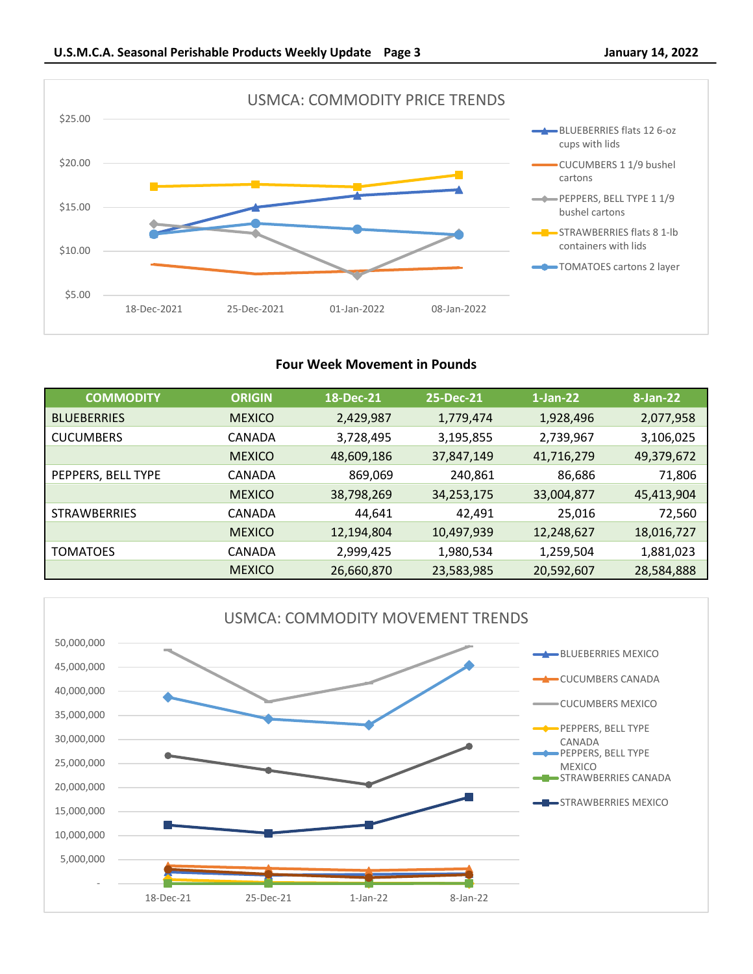

# **Four Week Movement in Pounds**

| <b>COMMODITY</b>    | <b>ORIGIN</b> | 18-Dec-21  | 25-Dec-21  | $1$ -Jan-22 | $8 - Jan-22$ |
|---------------------|---------------|------------|------------|-------------|--------------|
| <b>BLUEBERRIES</b>  | <b>MEXICO</b> | 2,429,987  | 1,779,474  | 1,928,496   | 2,077,958    |
| <b>CUCUMBERS</b>    | CANADA        | 3,728,495  | 3,195,855  | 2,739,967   | 3,106,025    |
|                     | <b>MEXICO</b> | 48,609,186 | 37,847,149 | 41,716,279  | 49,379,672   |
| PEPPERS, BELL TYPE  | CANADA        | 869,069    | 240,861    | 86,686      | 71,806       |
|                     | <b>MEXICO</b> | 38,798,269 | 34,253,175 | 33,004,877  | 45,413,904   |
| <b>STRAWBERRIES</b> | CANADA        | 44,641     | 42,491     | 25,016      | 72,560       |
|                     | <b>MEXICO</b> | 12,194,804 | 10,497,939 | 12,248,627  | 18,016,727   |
| <b>TOMATOES</b>     | CANADA        | 2,999,425  | 1,980,534  | 1,259,504   | 1,881,023    |
|                     | <b>MEXICO</b> | 26,660,870 | 23,583,985 | 20,592,607  | 28,584,888   |